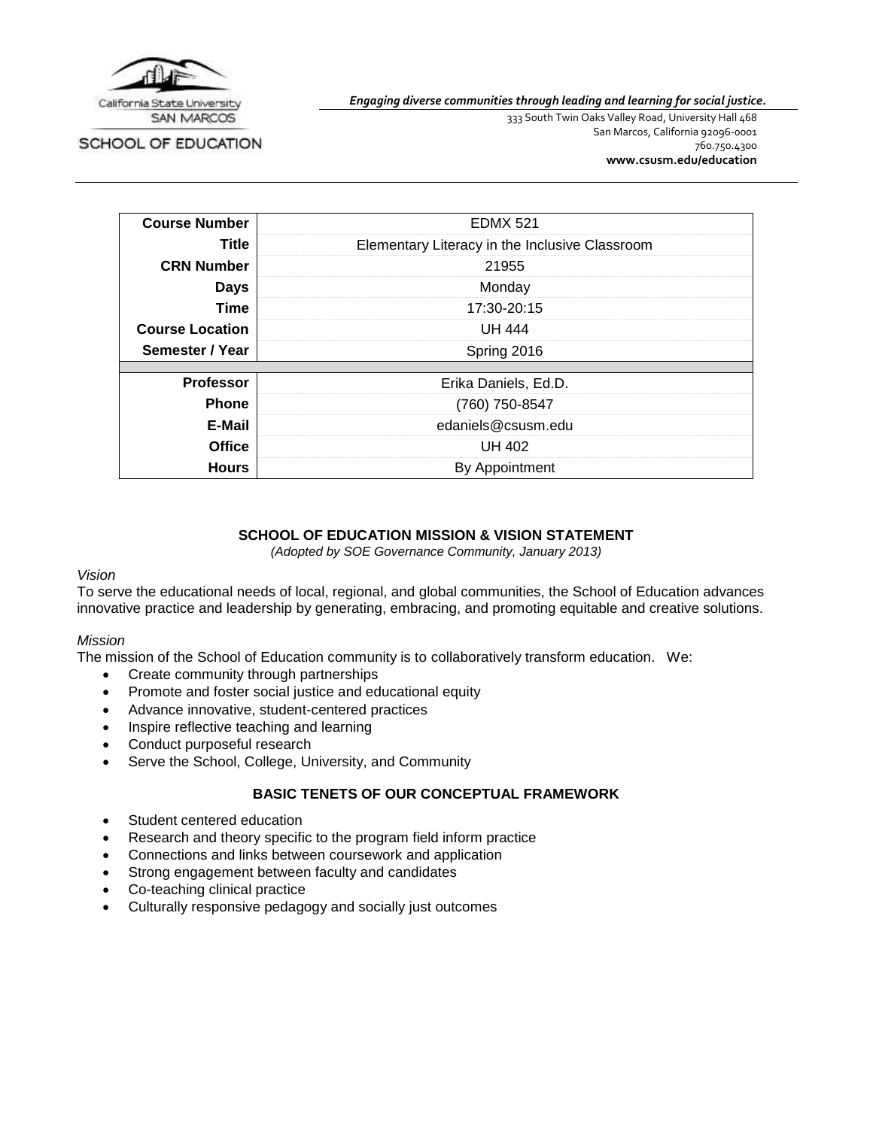

SCHOOL OF EDUCATION

*Engaging diverse communities through leading and learning for social justice.*

333 South Twin Oaks Valley Road, University Hall 468 San Marcos, California 92096-0001 760.750.4300 **[www.csusm.edu/education](http://www.csusm.edu/education)**

| <b>Course Number</b>   | <b>EDMX 521</b>                                |  |
|------------------------|------------------------------------------------|--|
| Title                  | Elementary Literacy in the Inclusive Classroom |  |
| <b>CRN Number</b>      | 21955                                          |  |
| <b>Days</b>            | Monday                                         |  |
| Time                   | 17:30-20:15                                    |  |
| <b>Course Location</b> | <b>UH 444</b>                                  |  |
| Semester / Year        | Spring 2016                                    |  |
|                        |                                                |  |
| <b>Professor</b>       | Erika Daniels, Ed.D.                           |  |
| <b>Phone</b>           | (760) 750-8547                                 |  |
| E-Mail                 | edaniels@csusm.edu                             |  |
| <b>Office</b>          | <b>UH 402</b>                                  |  |
| <b>Hours</b>           | By Appointment                                 |  |

# **SCHOOL OF EDUCATION MISSION & VISION STATEMENT**

*(Adopted by SOE Governance Community, January 2013)*

#### *Vision*

To serve the educational needs of local, regional, and global communities, the School of Education advances innovative practice and leadership by generating, embracing, and promoting equitable and creative solutions.

#### *Mission*

The mission of the School of Education community is to collaboratively transform education. We:

- Create community through partnerships
- Promote and foster social justice and educational equity
- Advance innovative, student-centered practices
- Inspire reflective teaching and learning
- Conduct purposeful research
- Serve the School, College, University, and Community

#### **BASIC TENETS OF OUR CONCEPTUAL FRAMEWORK**

- Student centered education
- Research and theory specific to the program field inform practice
- Connections and links between coursework and application
- Strong engagement between faculty and candidates
- Co-teaching clinical practice
- Culturally responsive pedagogy and socially just outcomes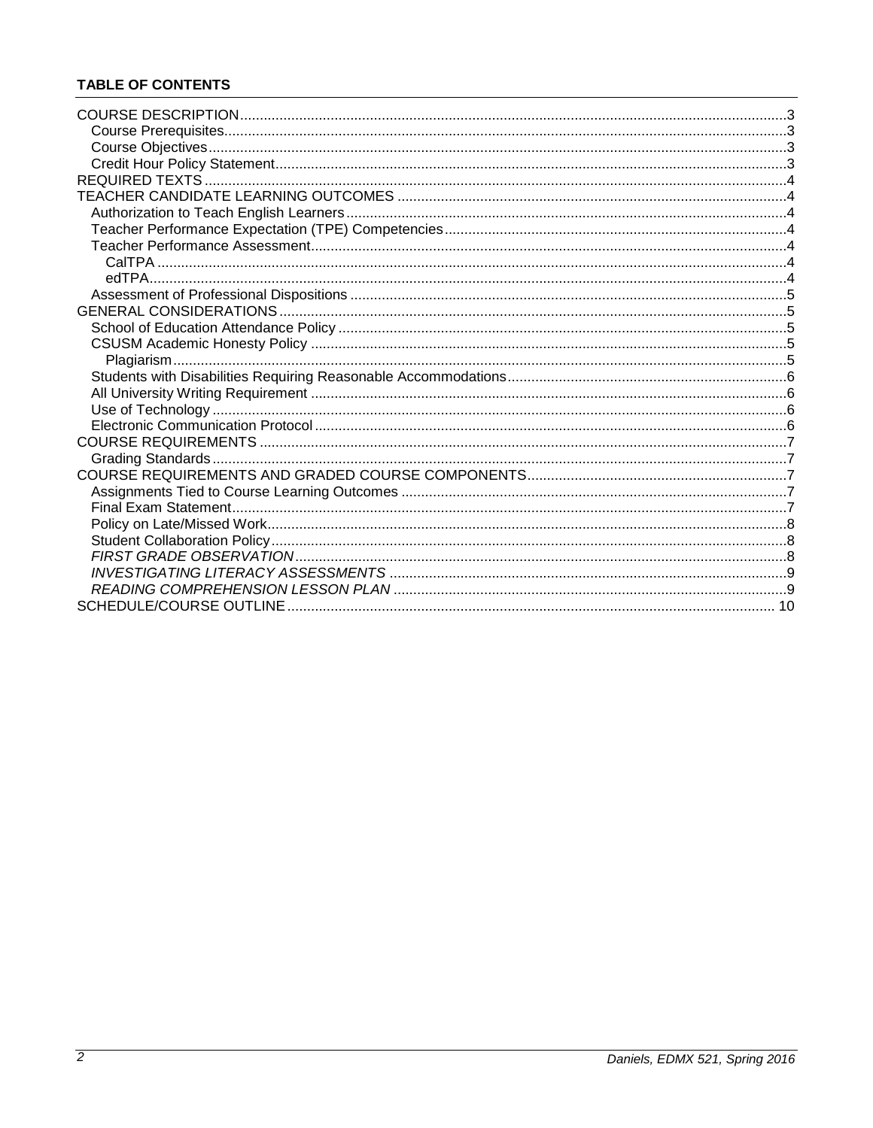# **TABLE OF CONTENTS**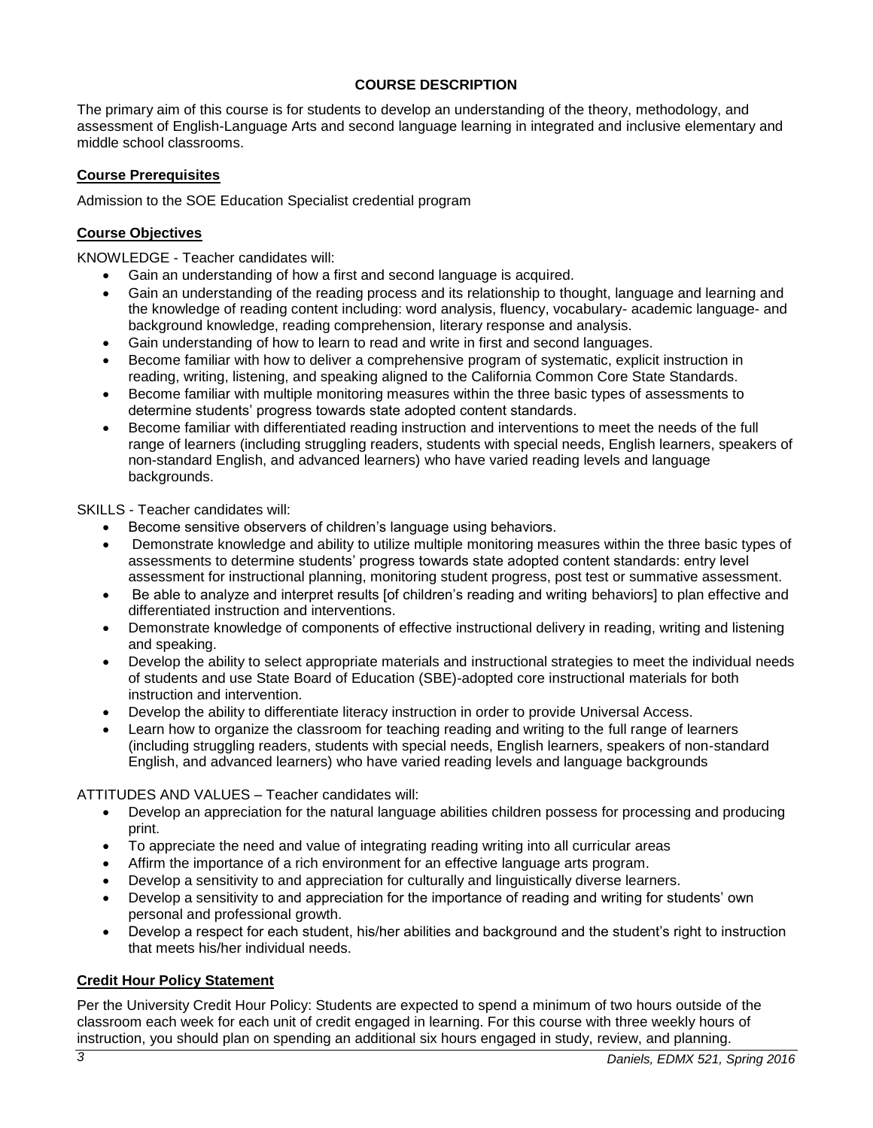# **COURSE DESCRIPTION**

<span id="page-2-0"></span>The primary aim of this course is for students to develop an understanding of the theory, methodology, and assessment of English-Language Arts and second language learning in integrated and inclusive elementary and middle school classrooms.

# <span id="page-2-1"></span>**Course Prerequisites**

Admission to the SOE Education Specialist credential program

# <span id="page-2-2"></span>**Course Objectives**

KNOWLEDGE - Teacher candidates will:

- Gain an understanding of how a first and second language is acquired.
- Gain an understanding of the reading process and its relationship to thought, language and learning and the knowledge of reading content including: word analysis, fluency, vocabulary- academic language- and background knowledge, reading comprehension, literary response and analysis.
- Gain understanding of how to learn to read and write in first and second languages.
- Become familiar with how to deliver a comprehensive program of systematic, explicit instruction in reading, writing, listening, and speaking aligned to the California Common Core State Standards.
- Become familiar with multiple monitoring measures within the three basic types of assessments to determine students' progress towards state adopted content standards.
- Become familiar with differentiated reading instruction and interventions to meet the needs of the full range of learners (including struggling readers, students with special needs, English learners, speakers of non-standard English, and advanced learners) who have varied reading levels and language backgrounds.

# SKILLS - Teacher candidates will:

- Become sensitive observers of children's language using behaviors.
- Demonstrate knowledge and ability to utilize multiple monitoring measures within the three basic types of assessments to determine students' progress towards state adopted content standards: entry level assessment for instructional planning, monitoring student progress, post test or summative assessment.
- Be able to analyze and interpret results [of children's reading and writing behaviors] to plan effective and differentiated instruction and interventions.
- Demonstrate knowledge of components of effective instructional delivery in reading, writing and listening and speaking.
- Develop the ability to select appropriate materials and instructional strategies to meet the individual needs of students and use State Board of Education (SBE)-adopted core instructional materials for both instruction and intervention.
- Develop the ability to differentiate literacy instruction in order to provide Universal Access.
- Learn how to organize the classroom for teaching reading and writing to the full range of learners (including struggling readers, students with special needs, English learners, speakers of non-standard English, and advanced learners) who have varied reading levels and language backgrounds

# ATTITUDES AND VALUES – Teacher candidates will:

- Develop an appreciation for the natural language abilities children possess for processing and producing print.
- To appreciate the need and value of integrating reading writing into all curricular areas
- Affirm the importance of a rich environment for an effective language arts program.
- Develop a sensitivity to and appreciation for culturally and linguistically diverse learners.
- Develop a sensitivity to and appreciation for the importance of reading and writing for students' own personal and professional growth.
- Develop a respect for each student, his/her abilities and background and the student's right to instruction that meets his/her individual needs.

# <span id="page-2-3"></span>**Credit Hour Policy Statement**

Per the University Credit Hour Policy: Students are expected to spend a minimum of two hours outside of the classroom each week for each unit of credit engaged in learning. For this course with three weekly hours of instruction, you should plan on spending an additional six hours engaged in study, review, and planning.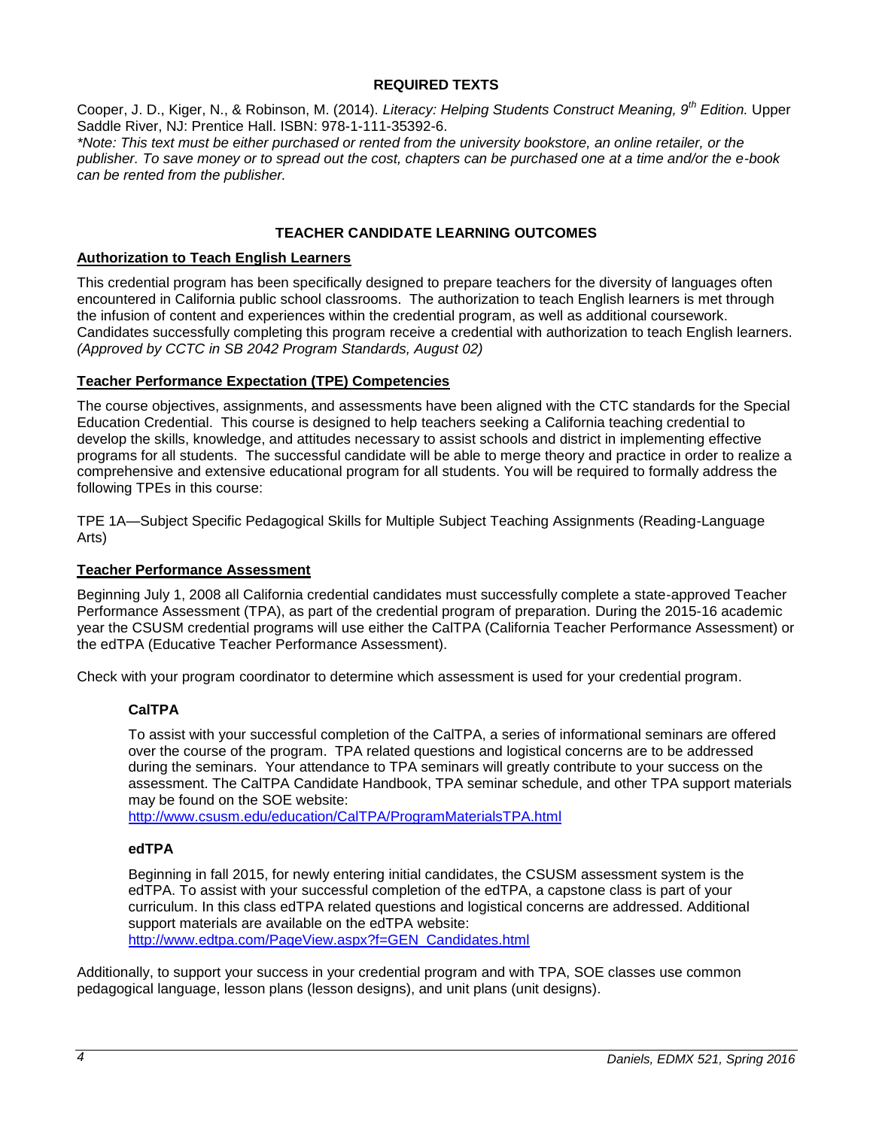#### **REQUIRED TEXTS**

<span id="page-3-0"></span>Cooper, J. D., Kiger, N., & Robinson, M. (2014). *Literacy: Helping Students Construct Meaning, 9th Edition.* Upper Saddle River, NJ: Prentice Hall. ISBN: 978-1-111-35392-6.

*\*Note: This text must be either purchased or rented from the university bookstore, an online retailer, or the publisher. To save money or to spread out the cost, chapters can be purchased one at a time and/or the e-book can be rented from the publisher.*

#### **TEACHER CANDIDATE LEARNING OUTCOMES**

#### <span id="page-3-2"></span><span id="page-3-1"></span>**Authorization to Teach English Learners**

This credential program has been specifically designed to prepare teachers for the diversity of languages often encountered in California public school classrooms. The authorization to teach English learners is met through the infusion of content and experiences within the credential program, as well as additional coursework. Candidates successfully completing this program receive a credential with authorization to teach English learners. *(Approved by CCTC in SB 2042 Program Standards, August 02)*

#### <span id="page-3-3"></span>**Teacher Performance Expectation (TPE) Competencies**

The course objectives, assignments, and assessments have been aligned with the CTC standards for the Special Education Credential. This course is designed to help teachers seeking a California teaching credential to develop the skills, knowledge, and attitudes necessary to assist schools and district in implementing effective programs for all students. The successful candidate will be able to merge theory and practice in order to realize a comprehensive and extensive educational program for all students. You will be required to formally address the following TPEs in this course:

TPE 1A—Subject Specific Pedagogical Skills for Multiple Subject Teaching Assignments (Reading-Language Arts)

#### <span id="page-3-4"></span>**Teacher Performance Assessment**

Beginning July 1, 2008 all California credential candidates must successfully complete a state-approved Teacher Performance Assessment (TPA), as part of the credential program of preparation. During the 2015-16 academic year the CSUSM credential programs will use either the CalTPA (California Teacher Performance Assessment) or the edTPA (Educative Teacher Performance Assessment).

<span id="page-3-5"></span>Check with your program coordinator to determine which assessment is used for your credential program.

# **CalTPA**

To assist with your successful completion of the CalTPA, a series of informational seminars are offered over the course of the program. TPA related questions and logistical concerns are to be addressed during the seminars. Your attendance to TPA seminars will greatly contribute to your success on the assessment. The CalTPA Candidate Handbook, TPA seminar schedule, and other TPA support materials may be found on the SOE website:

<http://www.csusm.edu/education/CalTPA/ProgramMaterialsTPA.html>

#### <span id="page-3-6"></span>**edTPA**

Beginning in fall 2015, for newly entering initial candidates, the CSUSM assessment system is the edTPA. To assist with your successful completion of the edTPA, a capstone class is part of your curriculum. In this class edTPA related questions and logistical concerns are addressed. Additional support materials are available on the edTPA website: [http://www.edtpa.com/PageView.aspx?f=GEN\\_Candidates.html](http://www.edtpa.com/PageView.aspx?f=GEN_Candidates.html)

Additionally, to support your success in your credential program and with TPA, SOE classes use common pedagogical language, lesson plans (lesson designs), and unit plans (unit designs).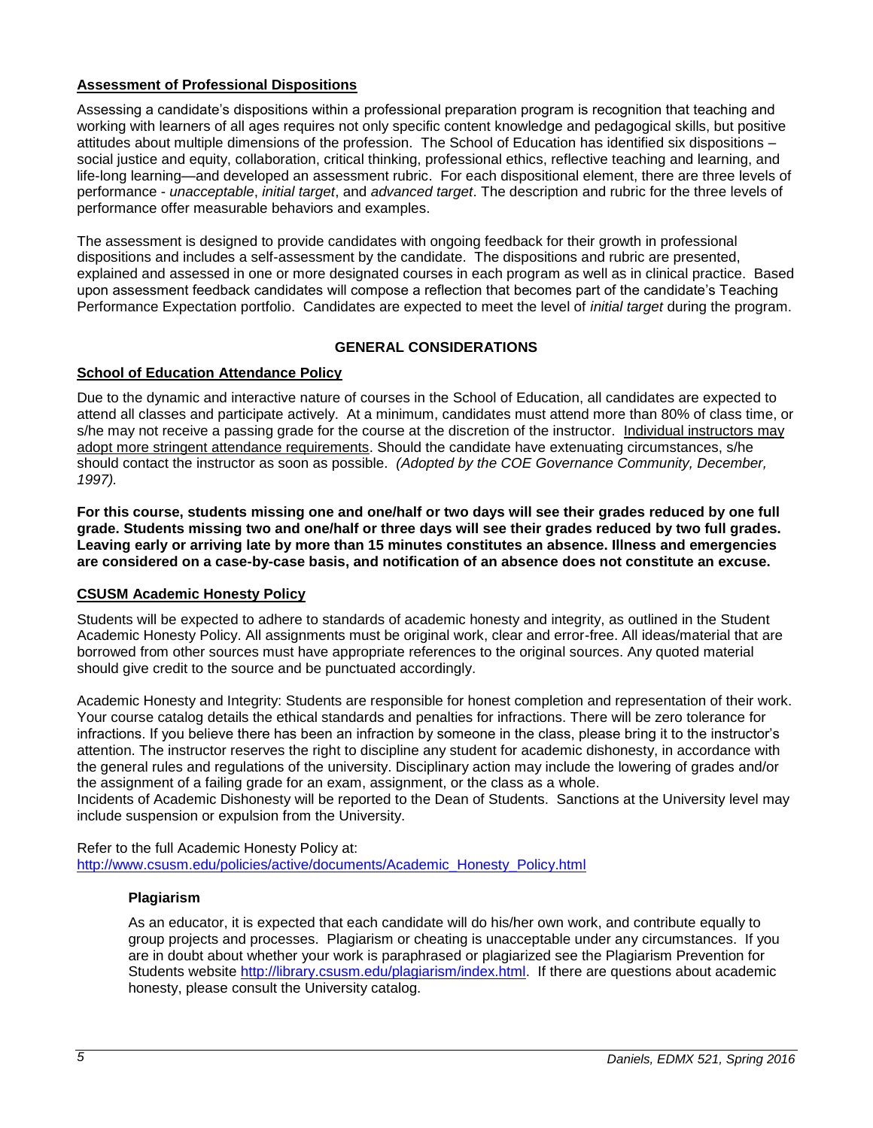## <span id="page-4-0"></span>**Assessment of Professional Dispositions**

Assessing a candidate's dispositions within a professional preparation program is recognition that teaching and working with learners of all ages requires not only specific content knowledge and pedagogical skills, but positive attitudes about multiple dimensions of the profession. The School of Education has identified six dispositions – social justice and equity, collaboration, critical thinking, professional ethics, reflective teaching and learning, and life-long learning—and developed an assessment rubric. For each dispositional element, there are three levels of performance - *unacceptable*, *initial target*, and *advanced target*. The description and rubric for the three levels of performance offer measurable behaviors and examples.

The assessment is designed to provide candidates with ongoing feedback for their growth in professional dispositions and includes a self-assessment by the candidate. The dispositions and rubric are presented, explained and assessed in one or more designated courses in each program as well as in clinical practice. Based upon assessment feedback candidates will compose a reflection that becomes part of the candidate's Teaching Performance Expectation portfolio. Candidates are expected to meet the level of *initial target* during the program.

# **GENERAL CONSIDERATIONS**

# <span id="page-4-2"></span><span id="page-4-1"></span>**School of Education Attendance Policy**

Due to the dynamic and interactive nature of courses in the School of Education, all candidates are expected to attend all classes and participate actively. At a minimum, candidates must attend more than 80% of class time, or s/he may not receive a passing grade for the course at the discretion of the instructor. Individual instructors may adopt more stringent attendance requirements. Should the candidate have extenuating circumstances, s/he should contact the instructor as soon as possible. *(Adopted by the COE Governance Community, December, 1997).*

**For this course, students missing one and one/half or two days will see their grades reduced by one full grade. Students missing two and one/half or three days will see their grades reduced by two full grades. Leaving early or arriving late by more than 15 minutes constitutes an absence. Illness and emergencies are considered on a case-by-case basis, and notification of an absence does not constitute an excuse.**

# <span id="page-4-3"></span>**CSUSM Academic Honesty Policy**

Students will be expected to adhere to standards of academic honesty and integrity, as outlined in the Student Academic Honesty Policy. All assignments must be original work, clear and error-free. All ideas/material that are borrowed from other sources must have appropriate references to the original sources. Any quoted material should give credit to the source and be punctuated accordingly.

Academic Honesty and Integrity: Students are responsible for honest completion and representation of their work. Your course catalog details the ethical standards and penalties for infractions. There will be zero tolerance for infractions. If you believe there has been an infraction by someone in the class, please bring it to the instructor's attention. The instructor reserves the right to discipline any student for academic dishonesty, in accordance with the general rules and regulations of the university. Disciplinary action may include the lowering of grades and/or the assignment of a failing grade for an exam, assignment, or the class as a whole.

Incidents of Academic Dishonesty will be reported to the Dean of Students. Sanctions at the University level may include suspension or expulsion from the University.

<span id="page-4-4"></span>Refer to the full Academic Honesty Policy at: [http://www.csusm.edu/policies/active/documents/Academic\\_Honesty\\_Policy.html](http://www.csusm.edu/policies/active/documents/Academic_Honesty_Policy.html)

#### **Plagiarism**

As an educator, it is expected that each candidate will do his/her own work, and contribute equally to group projects and processes. Plagiarism or cheating is unacceptable under any circumstances. If you are in doubt about whether your work is paraphrased or plagiarized see the Plagiarism Prevention for Students website [http://library.csusm.edu/plagiarism/index.html.](http://library.csusm.edu/plagiarism/index.html) If there are questions about academic honesty, please consult the University catalog.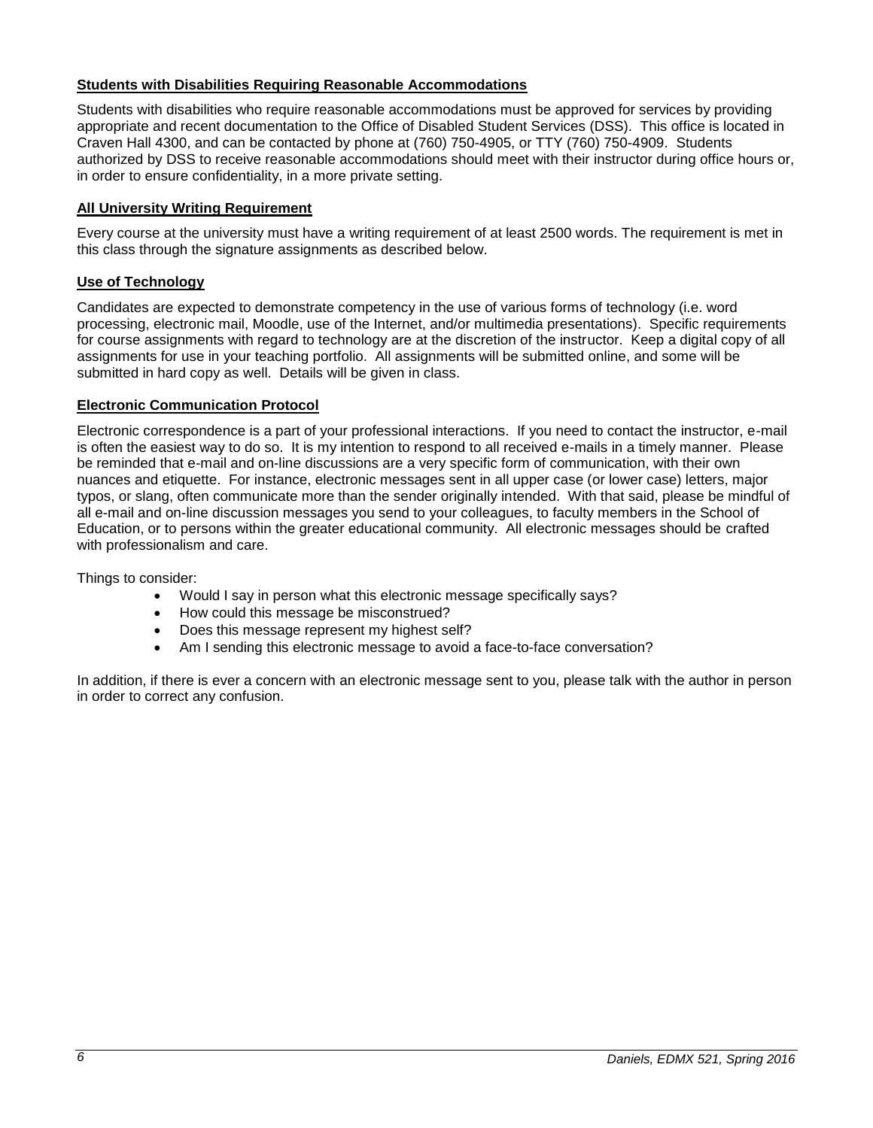# <span id="page-5-0"></span>**Students with Disabilities Requiring Reasonable Accommodations**

Students with disabilities who require reasonable accommodations must be approved for services by providing appropriate and recent documentation to the Office of Disabled Student Services (DSS). This office is located in Craven Hall 4300, and can be contacted by phone at (760) 750-4905, or TTY (760) 750-4909. Students authorized by DSS to receive reasonable accommodations should meet with their instructor during office hours or, in order to ensure confidentiality, in a more private setting.

# <span id="page-5-1"></span>**All University Writing Requirement**

Every course at the university must have a writing requirement of at least 2500 words. The requirement is met in this class through the signature assignments as described below.

## <span id="page-5-2"></span>**Use of Technology**

Candidates are expected to demonstrate competency in the use of various forms of technology (i.e. word processing, electronic mail, Moodle, use of the Internet, and/or multimedia presentations). Specific requirements for course assignments with regard to technology are at the discretion of the instructor. Keep a digital copy of all assignments for use in your teaching portfolio. All assignments will be submitted online, and some will be submitted in hard copy as well. Details will be given in class.

#### <span id="page-5-3"></span>**Electronic Communication Protocol**

Electronic correspondence is a part of your professional interactions. If you need to contact the instructor, e-mail is often the easiest way to do so. It is my intention to respond to all received e-mails in a timely manner. Please be reminded that e-mail and on-line discussions are a very specific form of communication, with their own nuances and etiquette. For instance, electronic messages sent in all upper case (or lower case) letters, major typos, or slang, often communicate more than the sender originally intended. With that said, please be mindful of all e-mail and on-line discussion messages you send to your colleagues, to faculty members in the School of Education, or to persons within the greater educational community. All electronic messages should be crafted with professionalism and care.

Things to consider:

- Would I say in person what this electronic message specifically says?
- How could this message be misconstrued?
- Does this message represent my highest self?
- Am I sending this electronic message to avoid a face-to-face conversation?

In addition, if there is ever a concern with an electronic message sent to you, please talk with the author in person in order to correct any confusion.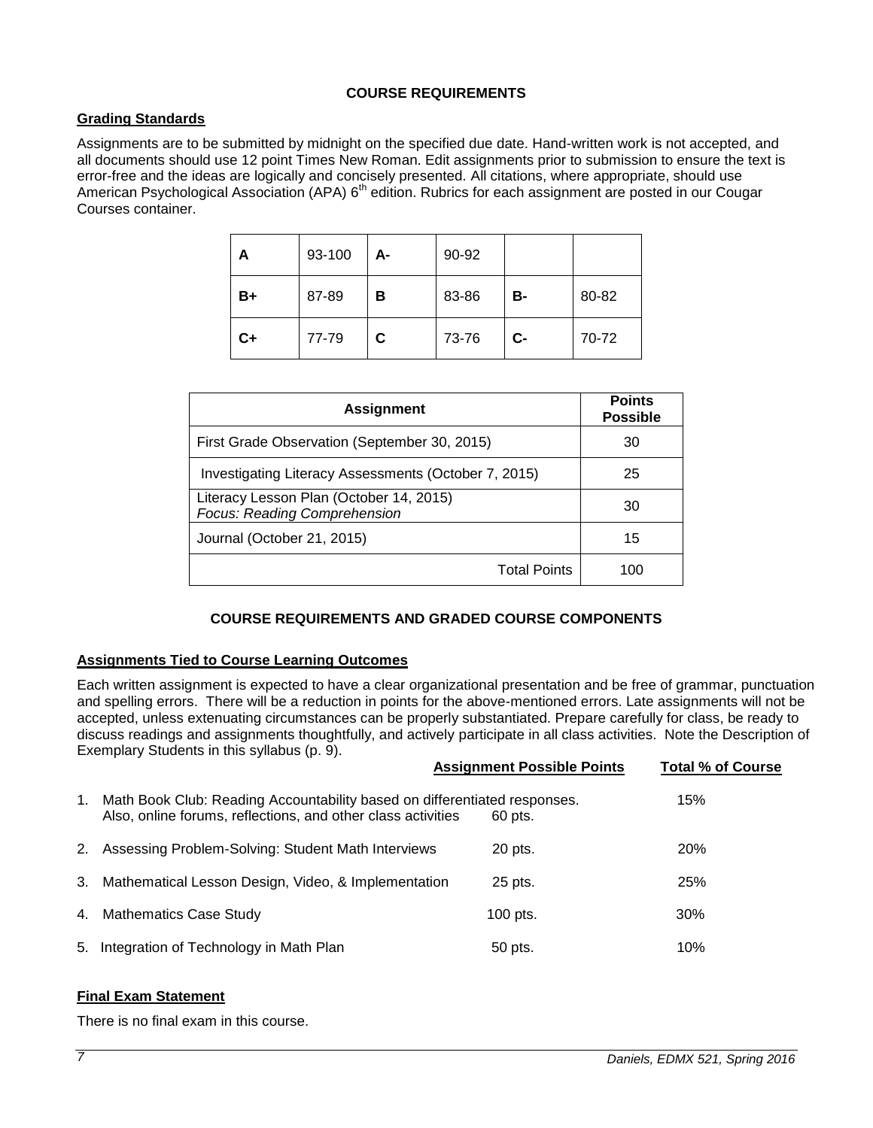# **COURSE REQUIREMENTS**

# <span id="page-6-1"></span><span id="page-6-0"></span>**Grading Standards**

Assignments are to be submitted by midnight on the specified due date. Hand-written work is not accepted, and all documents should use 12 point Times New Roman. Edit assignments prior to submission to ensure the text is error-free and the ideas are logically and concisely presented. All citations, where appropriate, should use American Psychological Association (APA) 6<sup>th</sup> edition. Rubrics for each assignment are posted in our Cougar Courses container.

| А  | 93-100 | А- | 90-92 |       |       |
|----|--------|----|-------|-------|-------|
| B+ | 87-89  | в  | 83-86 | в-    | 80-82 |
| C+ | 77-79  | C. | 73-76 | $C -$ | 70-72 |

| <b>Assignment</b>                                                       | <b>Points</b><br><b>Possible</b> |
|-------------------------------------------------------------------------|----------------------------------|
| First Grade Observation (September 30, 2015)                            | 30                               |
| Investigating Literacy Assessments (October 7, 2015)                    | 25                               |
| Literacy Lesson Plan (October 14, 2015)<br>Focus: Reading Comprehension | 30                               |
| Journal (October 21, 2015)                                              | 15                               |
| <b>Total Points</b>                                                     | 100                              |

# **COURSE REQUIREMENTS AND GRADED COURSE COMPONENTS**

# <span id="page-6-3"></span><span id="page-6-2"></span>**Assignments Tied to Course Learning Outcomes**

Each written assignment is expected to have a clear organizational presentation and be free of grammar, punctuation and spelling errors. There will be a reduction in points for the above-mentioned errors. Late assignments will not be accepted, unless extenuating circumstances can be properly substantiated. Prepare carefully for class, be ready to discuss readings and assignments thoughtfully, and actively participate in all class activities. Note the Description of Exemplary Students in this syllabus (p. 9).

|    |                                                                                                                                           | <b>Assignment Possible Points</b> | <b>Total % of Course</b> |
|----|-------------------------------------------------------------------------------------------------------------------------------------------|-----------------------------------|--------------------------|
| 1. | Math Book Club: Reading Accountability based on differentiated responses.<br>Also, online forums, reflections, and other class activities | 60 pts.                           | 15%                      |
| 2. | Assessing Problem-Solving: Student Math Interviews                                                                                        | 20 pts.                           | <b>20%</b>               |
| 3. | Mathematical Lesson Design, Video, & Implementation                                                                                       | 25 pts.                           | 25%                      |
| 4. | <b>Mathematics Case Study</b>                                                                                                             | $100$ pts.                        | 30%                      |
| 5. | Integration of Technology in Math Plan                                                                                                    | 50 pts.                           | 10%                      |

# <span id="page-6-4"></span>**Final Exam Statement**

There is no final exam in this course.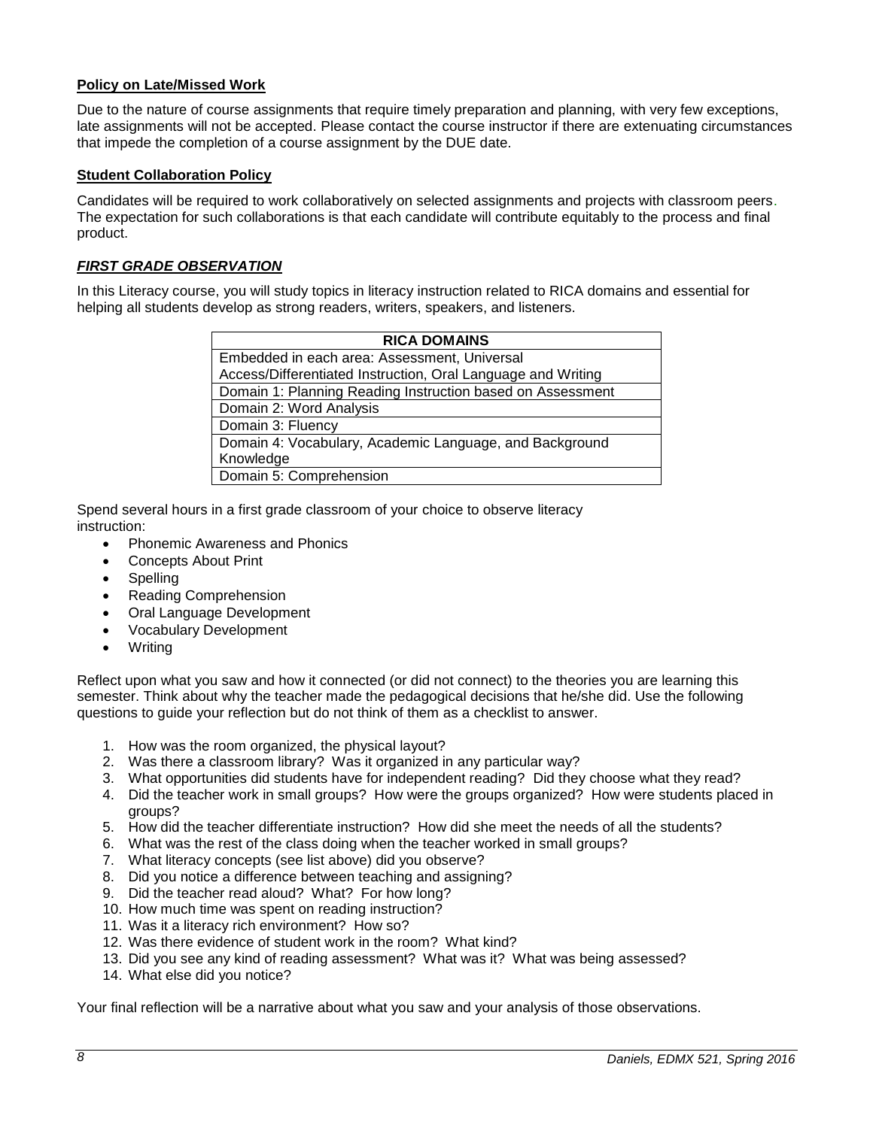#### <span id="page-7-0"></span>**Policy on Late/Missed Work**

Due to the nature of course assignments that require timely preparation and planning, with very few exceptions, late assignments will not be accepted. Please contact the course instructor if there are extenuating circumstances that impede the completion of a course assignment by the DUE date.

#### <span id="page-7-1"></span>**Student Collaboration Policy**

Candidates will be required to work collaboratively on selected assignments and projects with classroom peers. The expectation for such collaborations is that each candidate will contribute equitably to the process and final product.

# <span id="page-7-2"></span>*FIRST GRADE OBSERVATION*

In this Literacy course, you will study topics in literacy instruction related to RICA domains and essential for helping all students develop as strong readers, writers, speakers, and listeners.

| <b>RICA DOMAINS</b>                                          |
|--------------------------------------------------------------|
| Embedded in each area: Assessment, Universal                 |
| Access/Differentiated Instruction, Oral Language and Writing |
| Domain 1: Planning Reading Instruction based on Assessment   |
| Domain 2: Word Analysis                                      |
| Domain 3: Fluency                                            |
| Domain 4: Vocabulary, Academic Language, and Background      |
| Knowledge                                                    |
| Domain 5: Comprehension                                      |

Spend several hours in a first grade classroom of your choice to observe literacy instruction:

- Phonemic Awareness and Phonics
- Concepts About Print
- Spelling
- Reading Comprehension
- Oral Language Development
- Vocabulary Development
- Writing

Reflect upon what you saw and how it connected (or did not connect) to the theories you are learning this semester. Think about why the teacher made the pedagogical decisions that he/she did. Use the following questions to guide your reflection but do not think of them as a checklist to answer.

- 1. How was the room organized, the physical layout?
- 2. Was there a classroom library? Was it organized in any particular way?
- 3. What opportunities did students have for independent reading? Did they choose what they read?
- 4. Did the teacher work in small groups? How were the groups organized? How were students placed in groups?
- 5. How did the teacher differentiate instruction? How did she meet the needs of all the students?
- 6. What was the rest of the class doing when the teacher worked in small groups?
- 7. What literacy concepts (see list above) did you observe?
- 8. Did you notice a difference between teaching and assigning?
- 9. Did the teacher read aloud? What? For how long?
- 10. How much time was spent on reading instruction?
- 11. Was it a literacy rich environment? How so?
- 12. Was there evidence of student work in the room? What kind?
- 13. Did you see any kind of reading assessment? What was it? What was being assessed?
- 14. What else did you notice?

Your final reflection will be a narrative about what you saw and your analysis of those observations.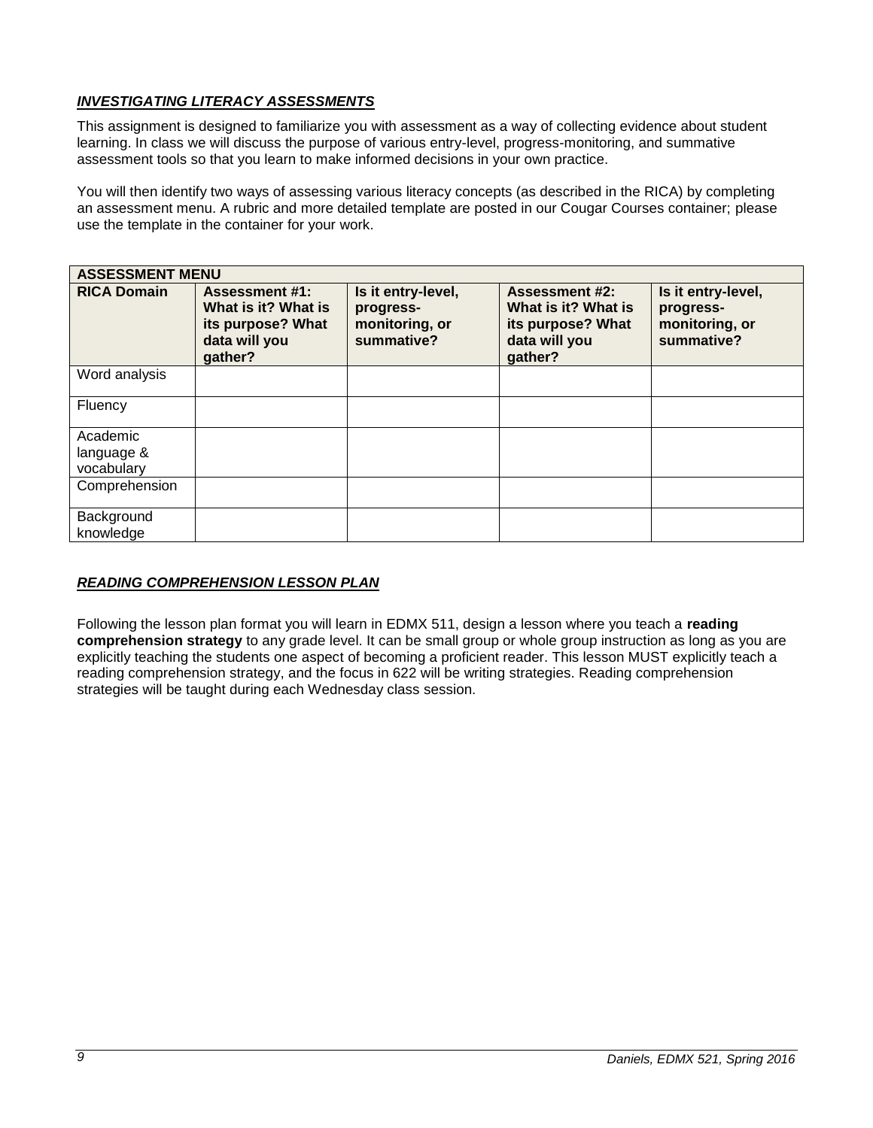# <span id="page-8-0"></span>*INVESTIGATING LITERACY ASSESSMENTS*

This assignment is designed to familiarize you with assessment as a way of collecting evidence about student learning. In class we will discuss the purpose of various entry-level, progress-monitoring, and summative assessment tools so that you learn to make informed decisions in your own practice.

You will then identify two ways of assessing various literacy concepts (as described in the RICA) by completing an assessment menu. A rubric and more detailed template are posted in our Cougar Courses container; please use the template in the container for your work.

| <b>ASSESSMENT MENU</b>               |                                                                                               |                                                                 |                                                                                               |                                                                 |
|--------------------------------------|-----------------------------------------------------------------------------------------------|-----------------------------------------------------------------|-----------------------------------------------------------------------------------------------|-----------------------------------------------------------------|
| <b>RICA Domain</b>                   | <b>Assessment #1:</b><br>What is it? What is<br>its purpose? What<br>data will you<br>gather? | Is it entry-level,<br>progress-<br>monitoring, or<br>summative? | <b>Assessment #2:</b><br>What is it? What is<br>its purpose? What<br>data will you<br>gather? | Is it entry-level,<br>progress-<br>monitoring, or<br>summative? |
| Word analysis                        |                                                                                               |                                                                 |                                                                                               |                                                                 |
| Fluency                              |                                                                                               |                                                                 |                                                                                               |                                                                 |
| Academic<br>language &<br>vocabulary |                                                                                               |                                                                 |                                                                                               |                                                                 |
| Comprehension                        |                                                                                               |                                                                 |                                                                                               |                                                                 |
| Background<br>knowledge              |                                                                                               |                                                                 |                                                                                               |                                                                 |

# <span id="page-8-1"></span>*READING COMPREHENSION LESSON PLAN*

Following the lesson plan format you will learn in EDMX 511, design a lesson where you teach a **reading comprehension strategy** to any grade level. It can be small group or whole group instruction as long as you are explicitly teaching the students one aspect of becoming a proficient reader. This lesson MUST explicitly teach a reading comprehension strategy, and the focus in 622 will be writing strategies. Reading comprehension strategies will be taught during each Wednesday class session.